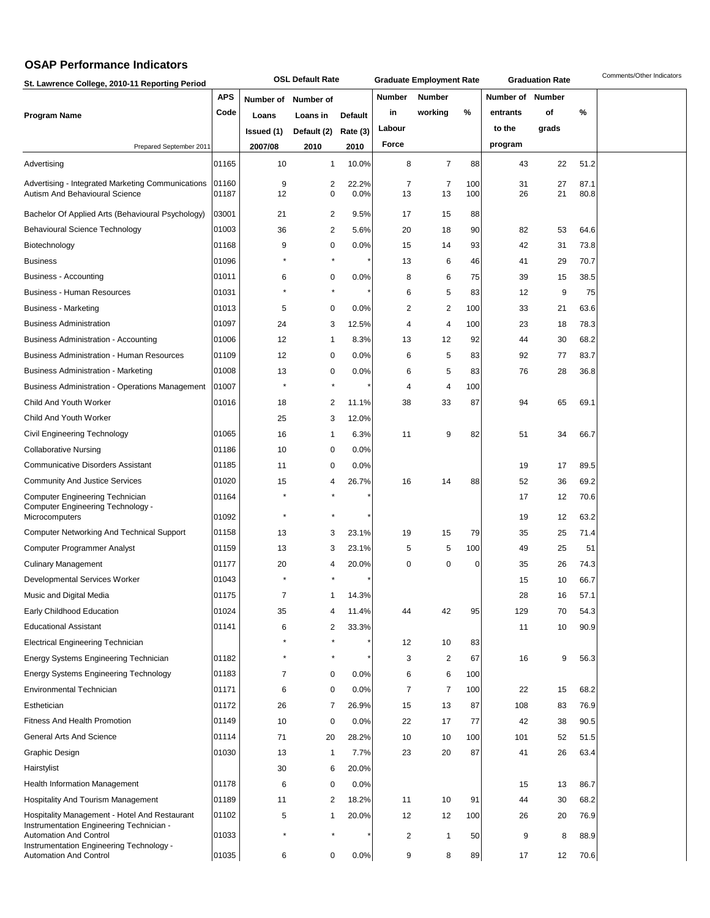## **OSAP Performance Indicators**

| St. Lawrence College, 2010-11 Reporting Period                                                                             |                |            | <b>OSL Default Rate</b> |                |               | <b>Graduate Employment Rate</b> |            |           | <b>Graduation Rate</b> |              | Comments/Other Indicators |
|----------------------------------------------------------------------------------------------------------------------------|----------------|------------|-------------------------|----------------|---------------|---------------------------------|------------|-----------|------------------------|--------------|---------------------------|
|                                                                                                                            | APS            | Number of  | Number of               |                | <b>Number</b> | Number                          |            | Number of | Number                 |              |                           |
| <b>Program Name</b>                                                                                                        | Code           | Loans      | Loans in                | <b>Default</b> | in            | working                         | %          | entrants  | οf                     | %            |                           |
|                                                                                                                            |                | Issued (1) | Default (2)             | Rate (3)       | Labour        |                                 |            | to the    | grads                  |              |                           |
| Prepared September 2011                                                                                                    |                | 2007/08    | 2010                    | 2010           | Force         |                                 |            | program   |                        |              |                           |
| Advertising                                                                                                                | 01165          | 10         | $\mathbf{1}$            | 10.0%          | 8             | 7                               | 88         | 43        | 22                     | 51.2         |                           |
| Advertising - Integrated Marketing Communications<br>Autism And Behavioural Science                                        | 01160<br>01187 | 9<br>12    | 2<br>0                  | 22.2%<br>0.0%  | 7<br>13       | 7<br>13                         | 100<br>100 | 31<br>26  | 27<br>21               | 87.1<br>80.8 |                           |
| Bachelor Of Applied Arts (Behavioural Psychology)                                                                          | 03001          | 21         | 2                       | 9.5%           | 17            | 15                              | 88         |           |                        |              |                           |
| <b>Behavioural Science Technology</b>                                                                                      | 01003          | 36         | 2                       | 5.6%           | 20            | 18                              | 90         | 82        | 53                     | 64.6         |                           |
| Biotechnology                                                                                                              | 01168          | 9          | 0                       | 0.0%           | 15            | 14                              | 93         | 42        | 31                     | 73.8         |                           |
| <b>Business</b>                                                                                                            | 01096          | $\star$    | $\pmb{\ast}$            |                | 13            | 6                               | 46         | 41        | 29                     | 70.7         |                           |
| Business - Accounting                                                                                                      | 01011          | 6          | 0                       | 0.0%           | 8             | 6                               | 75         | 39        | 15                     | 38.5         |                           |
| <b>Business - Human Resources</b>                                                                                          | 01031          |            | $\star$                 |                | 6             | 5                               | 83         | 12        | 9                      | 75           |                           |
| Business - Marketing                                                                                                       | 01013          | 5          | 0                       | 0.0%           | 2             | 2                               | 100        | 33        | 21                     | 63.6         |                           |
| <b>Business Administration</b>                                                                                             | 01097          | 24         | 3                       | 12.5%          | 4             | 4                               | 100        | 23        | 18                     | 78.3         |                           |
| Business Administration - Accounting                                                                                       | 01006          | 12         | 1                       | 8.3%           | 13            | 12                              | 92         | 44        | 30                     | 68.2         |                           |
| <b>Business Administration - Human Resources</b>                                                                           | 01109          | 12         | 0                       | 0.0%           | 6             | 5                               | 83         | 92        | 77                     | 83.7         |                           |
| <b>Business Administration - Marketing</b>                                                                                 | 01008          | 13         | 0                       | 0.0%           | 6             | 5                               | 83         | 76        | 28                     | 36.8         |                           |
| Business Administration - Operations Management                                                                            | 01007          | ×          | $\star$                 |                | 4             | 4                               | 100        |           |                        |              |                           |
| Child And Youth Worker                                                                                                     | 01016          | 18         | 2                       | 11.1%          | 38            | 33                              | 87         | 94        | 65                     | 69.1         |                           |
| Child And Youth Worker                                                                                                     |                | 25         | 3                       | 12.0%          |               |                                 |            |           |                        |              |                           |
| Civil Engineering Technology                                                                                               | 01065          | 16         | 1                       | 6.3%           | 11            | 9                               | 82         | 51        | 34                     | 66.7         |                           |
| <b>Collaborative Nursing</b>                                                                                               | 01186          | 10         | 0                       | 0.0%           |               |                                 |            |           |                        |              |                           |
| <b>Communicative Disorders Assistant</b>                                                                                   | 01185          | 11         | 0                       | 0.0%           |               |                                 |            | 19        | 17                     | 89.5         |                           |
| <b>Community And Justice Services</b>                                                                                      | 01020          | 15         | 4                       | 26.7%          | 16            | 14                              | 88         | 52        | 36                     | 69.2         |                           |
| Computer Engineering Technician                                                                                            | 01164          |            |                         |                |               |                                 |            | 17        | 12                     | 70.6         |                           |
| Computer Engineering Technology -<br>Microcomputers                                                                        | 01092          |            |                         |                |               |                                 |            | 19        | 12                     | 63.2         |                           |
| <b>Computer Networking And Technical Support</b>                                                                           | 01158          | 13         | 3                       | 23.1%          | 19            | 15                              | 79         | 35        | 25                     | 71.4         |                           |
| Computer Programmer Analyst                                                                                                | 01159          | 13         | 3                       | 23.1%          | 5             | 5                               | 100        | 49        | 25                     | 51           |                           |
| <b>Culinary Management</b>                                                                                                 | 01177          | 20         | 4                       | 20.0%          | 0             | 0                               | 0          | 35        | 26                     | 74.3         |                           |
| Developmental Services Worker                                                                                              | 01043          |            |                         |                |               |                                 |            | 15        | 10                     | 66.7         |                           |
| Music and Digital Media                                                                                                    | 01175          | 7          |                         | 14.3%          |               |                                 |            | 28        | 16                     | 57.1         |                           |
| Early Childhood Education                                                                                                  | 01024          | 35         | 4                       |                |               |                                 | 95         | 129       | 70                     | 54.3         |                           |
| <b>Educational Assistant</b>                                                                                               | 01141          | 6          | $\overline{c}$          | 11.4%<br>33.3% | 44            | 42                              |            | 11        | 10                     | 90.9         |                           |
| <b>Electrical Engineering Technician</b>                                                                                   |                |            | $\star$                 |                | 12            | 10                              | 83         |           |                        |              |                           |
| Energy Systems Engineering Technician                                                                                      | 01182          | $\star$    | $\pmb{\ast}$            |                | 3             | $\overline{\mathbf{c}}$         | 67         | 16        | 9                      | 56.3         |                           |
| <b>Energy Systems Engineering Technology</b>                                                                               | 01183          | 7          | 0                       | 0.0%           | 6             | 6                               | 100        |           |                        |              |                           |
| Environmental Technician                                                                                                   | 01171          | 6          | 0                       |                | 7             | $\overline{7}$                  | 100        |           | 15                     |              |                           |
| Esthetician                                                                                                                | 01172          |            | $\overline{7}$          | 0.0%           |               |                                 |            | 22<br>108 | 83                     | 68.2         |                           |
| <b>Fitness And Health Promotion</b>                                                                                        | 01149          | 26         |                         | 26.9%          | 15            | 13                              | 87         |           |                        | 76.9         |                           |
|                                                                                                                            |                | 10         | 0                       | 0.0%           | 22            | 17                              | 77         | 42        | 38                     | 90.5         |                           |
| General Arts And Science                                                                                                   | 01114          | 71         | 20                      | 28.2%          | 10            | 10                              | 100        | 101       | 52                     | 51.5         |                           |
| Graphic Design                                                                                                             | 01030          | 13         | 1                       | 7.7%           | 23            | 20                              | 87         | 41        | 26                     | 63.4         |                           |
| Hairstylist                                                                                                                |                | 30         | 6                       | 20.0%          |               |                                 |            |           |                        |              |                           |
| <b>Health Information Management</b>                                                                                       | 01178          | 6          | 0                       | 0.0%           |               |                                 |            | 15        | 13                     | 86.7         |                           |
| <b>Hospitality And Tourism Management</b>                                                                                  | 01189          | 11         | 2                       | 18.2%          | 11            | 10                              | 91         | 44        | 30                     | 68.2         |                           |
| Hospitality Management - Hotel And Restaurant<br>Instrumentation Engineering Technician -<br><b>Automation And Control</b> | 01102<br>01033 | 5          | $\mathbf{1}$<br>$\star$ | 20.0%          | 12<br>2       | 12<br>1                         | 100<br>50  | 26<br>9   | 20<br>8                | 76.9<br>88.9 |                           |
| Instrumentation Engineering Technology -                                                                                   |                |            |                         |                |               |                                 |            |           |                        |              |                           |
| <b>Automation And Control</b>                                                                                              | 01035          | 6          | 0                       | 0.0%           | 9             | 8                               | 89         | 17        | 12                     | 70.6         |                           |